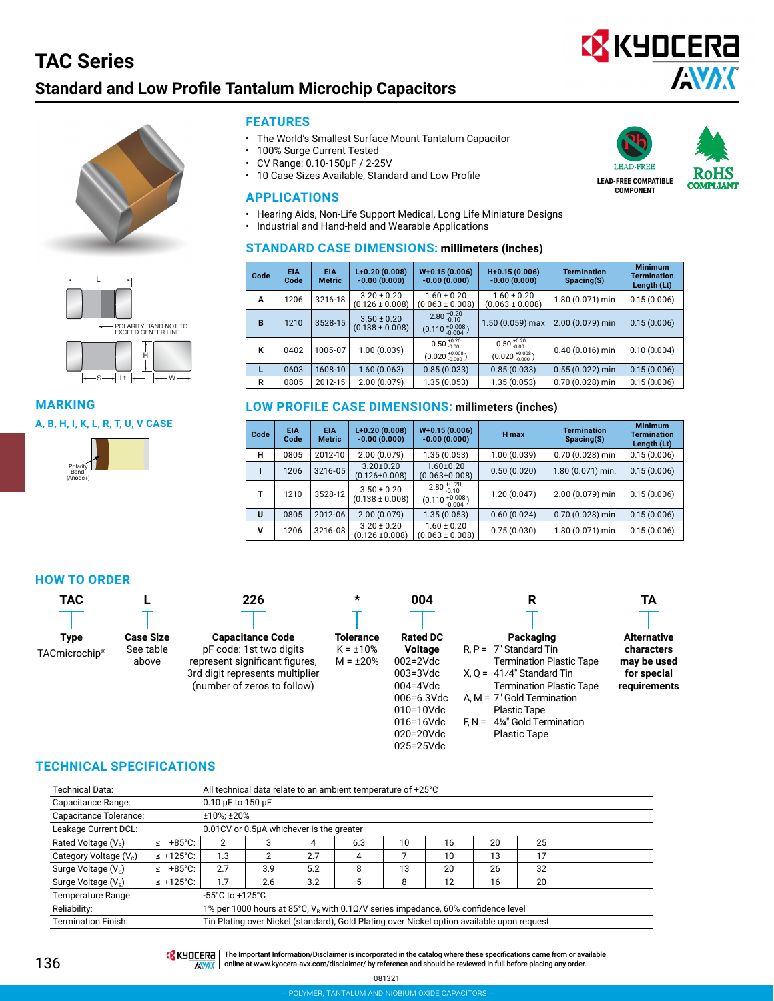### **TAC Series Standard and Low Profile Tantalum Microchip Capacitors TAC Series – Standard and Low Profile TACmicrochip®**



**LEAD-FREE COMPATIBLE COMPONENT**

REE

**COMPLIANT** 





### **MARKING**

#### **A, B, H, I, K, L, R, T, U, V CASE**



#### **FEATURES**

- The World's Smallest Surface Mount Tantalum Capacitor
- 100% Surge Current Tested
- CV Range: 0.10-150μF / 2-25V
- 10 Case Sizes Available, Standard and Low Profile

#### **APPLICATIONS**

- Hearing Aids, Non-Life Support Medical, Long Life Miniature Designs
- Industrial and Hand-held and Wearable Applications

#### **STANDARD CASE DIMENSIONS: millimeters (inches)**

| Code | <b>EIA</b><br>Code | <b>EIA</b><br><b>Metric</b> | $L+0.20(0.008)$<br>$-0.00(0.000)$      | $W+0.15(0.006)$<br>$-0.00(0.000)$                        | $H+0.15(0.006)$<br>$-0.00(0.000)$                        | <b>Termination</b><br>Spacing(S) | <b>Minimum</b><br><b>Termination</b><br>Length (Lt) |
|------|--------------------|-----------------------------|----------------------------------------|----------------------------------------------------------|----------------------------------------------------------|----------------------------------|-----------------------------------------------------|
| A    | 1206               | 3216-18                     | $3.20 \pm 0.20$<br>$(0.126 \pm 0.008)$ | $1.60 \pm 0.20$<br>$(0.063 \pm 0.008)$                   | $1.60 \pm 0.20$<br>$(0.063 \pm 0.008)$                   | 1.80 (0.071) min                 | 0.15(0.006)                                         |
| B    | 1210               | 3528-15                     | $3.50 \pm 0.20$<br>$(0.138 \pm 0.008)$ | $2.80_{-0.10}^{+0.20}$<br>$(0.110 + 0.008)$              | 1.50 (0.059) max                                         | 2.00 (0.079) min                 | 0.15(0.006)                                         |
| К    | 0402               | 1005-07                     | 1.00(0.039)                            | $0.50_{-0.00}^{+0.20}$<br>$(0.020 \frac{+0.008}{0.000})$ | $0.50_{-0.00}^{+0.20}$<br>$(0.020 \frac{+0.008}{0.000})$ | $0.40(0.016)$ min                | 0.10(0.004)                                         |
|      | 0603               | 1608-10                     | 1.60(0.063)                            | 0.85(0.033)                                              | 0.85(0.033)                                              | $0.55(0.022)$ min                | 0.15(0.006)                                         |
| R    | 0805               | 2012-15                     | 2.00(0.079)                            | 1.35(0.053)                                              | 1.35 (0.053)                                             | 0.70 (0.028) min                 | 0.15(0.006)                                         |

#### **LOW PROFILE CASE DIMENSIONS: millimeters (inches)**

| Code | <b>EIA</b><br>Code | <b>EIA</b><br><b>Metric</b> | $L+0.20(0.008)$<br>$-0.00(0.000)$      | $W+0.15(0.006)$<br>$-0.00(0.000)$           | H max       | <b>Termination</b><br>Spacing(S) | <b>Minimum</b><br><b>Termination</b><br>Length (Lt) |
|------|--------------------|-----------------------------|----------------------------------------|---------------------------------------------|-------------|----------------------------------|-----------------------------------------------------|
| н    | 0805               | 2012-10                     | 2.00(0.079)                            | 1.35(0.053)                                 | 1.00(0.039) | 0.70 (0.028) min                 | 0.15(0.006)                                         |
|      | 1206               | $3216 - 05$                 | $3.20 \pm 0.20$<br>$(0.126 \pm 0.008)$ | $1.60 \pm 0.20$<br>$(0.063 \pm 0.008)$      | 0.50(0.020) | 1.80 (0.071) min.                | 0.15(0.006)                                         |
| т    | 1210               | 3528-12                     | $3.50 \pm 0.20$<br>$(0.138 \pm 0.008)$ | $2.80_{-0.10}^{+0.20}$<br>$(0.110 + 0.008)$ | 1.20(0.047) | 2.00 (0.079) min                 | 0.15(0.006)                                         |
| U    | 0805               | 2012-06                     | 2.00(0.079)                            | 1.35(0.053)                                 | 0.60(0.024) | 0.70 (0.028) min                 | 0.15(0.006)                                         |
| v    | 1206               | 3216-08                     | $3.20 \pm 0.20$<br>$(0.126 \pm 0.008)$ | $1.60 \pm 0.20$<br>$(0.063 \pm 0.008)$      | 0.75(0.030) | 1.80 (0.071) min                 | 0.15(0.006)                                         |

#### **HOW TO ORDER**

| <b>TAC</b>                |                  | 226                             | $\star$        | 004             | R                                     | TΑ                 |
|---------------------------|------------------|---------------------------------|----------------|-----------------|---------------------------------------|--------------------|
|                           |                  |                                 |                |                 |                                       |                    |
| <b>Type</b>               | <b>Case Size</b> | <b>Capacitance Code</b>         | Tolerance      | <b>Rated DC</b> | Packaging                             | <b>Alternative</b> |
| TACmicrochip <sup>®</sup> | See table        | pF code: 1st two digits         | $K = \pm 10\%$ | <b>Voltage</b>  | $R.P = 7"$ Standard Tin               | characters         |
|                           | above            | represent significant figures.  | $M = \pm 20\%$ | $002 = 2Vdc$    | <b>Termination Plastic Tape</b>       | may be used        |
|                           |                  | 3rd digit represents multiplier |                | $003 = 3Vdc$    | $X. Q = 41/4$ " Standard Tin          | for special        |
|                           |                  | (number of zeros to follow)     |                | $004 = 4Vdc$    | Termination Plastic Tape              | requirements       |
|                           |                  |                                 |                | $006 = 6.3$ Vdc | A, $M = 7"$ Gold Termination          |                    |
|                           |                  |                                 |                | 010=10Vdc       | <b>Plastic Tape</b>                   |                    |
|                           |                  |                                 |                | $016 = 16$ Vdc  | $F_N = 4\frac{1}{4}$ Gold Termination |                    |
|                           |                  |                                 |                | $020 = 20Vdc$   | <b>Plastic Tape</b>                   |                    |

#### **TECHNICAL SPECIFICATIONS**

| <b>Technical Data:</b>             |                            |                                     |                                          |     | All technical data relate to an ambient temperature of +25°C                                |    |    |    |    |  |  |
|------------------------------------|----------------------------|-------------------------------------|------------------------------------------|-----|---------------------------------------------------------------------------------------------|----|----|----|----|--|--|
| Capacitance Range:                 |                            |                                     | 0.10 µF to 150 µF                        |     |                                                                                             |    |    |    |    |  |  |
| Capacitance Tolerance:             |                            |                                     | ±10%; ±20%                               |     |                                                                                             |    |    |    |    |  |  |
| Leakage Current DCL:               |                            |                                     | 0.01CV or 0.5µA whichever is the greater |     |                                                                                             |    |    |    |    |  |  |
| Rated Voltage (V <sub>p</sub> )    | $+85^{\circ}$ C:<br>$\leq$ |                                     | 3                                        | 4   | 6.3                                                                                         | 10 | 16 | 20 | 25 |  |  |
| Category Voltage (V <sub>c</sub> ) | $\leq$ +125°C:             | 1.3                                 | 2                                        | 2.7 | 4                                                                                           |    | 10 | 13 | 17 |  |  |
| Surge Voltage (V <sub>s</sub> )    | $+85^{\circ}$ C:<br>$\leq$ | 2.7                                 | 3.9                                      | 5.2 | 8                                                                                           | 13 | 20 | 26 | 32 |  |  |
| Surge Voltage $(V_s)$              | $\leq$ +125°C:             | 1.7                                 | 2.6                                      | 3.2 | 5                                                                                           | 8  | 12 | 16 | 20 |  |  |
| Temperature Range:                 |                            | $-55^{\circ}$ C to $+125^{\circ}$ C |                                          |     |                                                                                             |    |    |    |    |  |  |
| Reliability:                       |                            |                                     |                                          |     | 1% per 1000 hours at 85°C, $V_p$ with 0.1 $\Omega/V$ series impedance, 60% confidence level |    |    |    |    |  |  |
| <b>Termination Finish:</b>         |                            |                                     |                                          |     | Tin Plating over Nickel (standard), Gold Plating over Nickel option available upon request  |    |    |    |    |  |  |

THE Important Information/Disclaimer is incorporated in the catalog where these specifications came from or available **AVAX** online at [www.kyocera-avx.com/disclaimer/](http://www.avx.com/disclaimer/) by reference and should be reviewed in full before placing any order.

025=25Vdc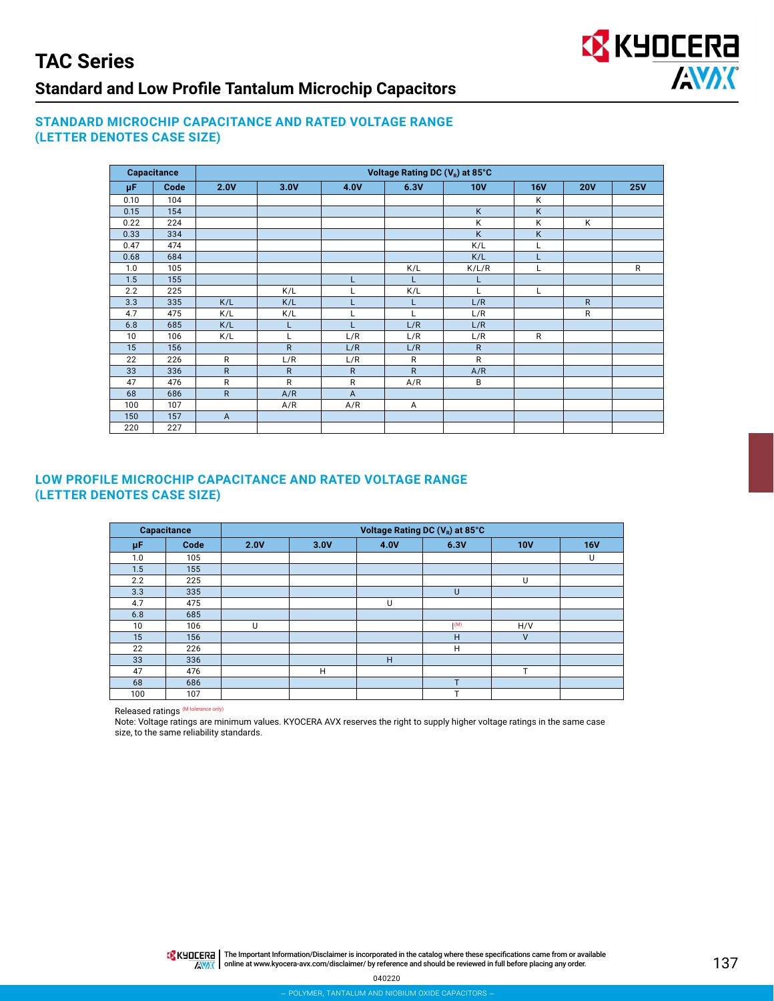

#### **STANDARD MICROCHIP CAPACITANCE AND RATED VOLTAGE RANGE (LETTER DENOTES CASE SIZE)**

|      | <b>Capacitance</b> | Voltage Rating DC (V <sub>R</sub> ) at 85°C |              |                |              |              |            |              |              |  |  |  |
|------|--------------------|---------------------------------------------|--------------|----------------|--------------|--------------|------------|--------------|--------------|--|--|--|
| μF   | Code               | 2.0V                                        | 3.0V         | 4.0V           | 6.3V         | <b>10V</b>   | <b>16V</b> | <b>20V</b>   | <b>25V</b>   |  |  |  |
| 0.10 | 104                |                                             |              |                |              |              | Κ          |              |              |  |  |  |
| 0.15 | 154                |                                             |              |                |              | K            | K          |              |              |  |  |  |
| 0.22 | 224                |                                             |              |                |              | Κ            | K          | K            |              |  |  |  |
| 0.33 | 334                |                                             |              |                |              | K            | K          |              |              |  |  |  |
| 0.47 | 474                |                                             |              |                |              | K/L          |            |              |              |  |  |  |
| 0.68 | 684                |                                             |              |                |              | K/L          |            |              |              |  |  |  |
| 1.0  | 105                |                                             |              |                | K/L          | K/L/R        |            |              | $\mathsf{R}$ |  |  |  |
| 1.5  | 155                |                                             |              |                |              |              |            |              |              |  |  |  |
| 2.2  | 225                |                                             | K/L          |                | K/L          |              |            |              |              |  |  |  |
| 3.3  | 335                | K/L                                         | K/L          |                |              | L/R          |            | $\mathsf{R}$ |              |  |  |  |
| 4.7  | 475                | K/L                                         | K/L          |                |              | L/R          |            | $\mathsf{R}$ |              |  |  |  |
| 6.8  | 685                | K/L                                         | Г            |                | L/R          | L/R          |            |              |              |  |  |  |
| 10   | 106                | K/L                                         | L            | L/R            | L/R          | L/R          | R          |              |              |  |  |  |
| 15   | 156                |                                             | $\mathsf{R}$ | L/R            | L/R          | $\mathsf{R}$ |            |              |              |  |  |  |
| 22   | 226                | $\mathsf{R}$                                | L/R          | L/R            | R            | R            |            |              |              |  |  |  |
| 33   | 336                | $\mathsf{R}$                                | $\mathsf{R}$ | $\mathsf{R}$   | $\mathsf{R}$ | A/R          |            |              |              |  |  |  |
| 47   | 476                | $\mathsf{R}$                                | $\mathsf{R}$ | $\mathsf{R}$   | A/R          | B            |            |              |              |  |  |  |
| 68   | 686                | $\mathsf{R}$                                | A/R          | $\overline{A}$ |              |              |            |              |              |  |  |  |
| 100  | 107                |                                             | A/R          | A/R            | A            |              |            |              |              |  |  |  |
| 150  | 157                | $\overline{A}$                              |              |                |              |              |            |              |              |  |  |  |
| 220  | 227                |                                             |              |                |              |              |            |              |              |  |  |  |

#### **LOW PROFILE MICROCHIP CAPACITANCE AND RATED VOLTAGE RANGE (LETTER DENOTES CASE SIZE)**

|     | Capacitance | Voltage Rating DC (V <sub>R</sub> ) at 85°C |      |      |      |            |            |  |  |  |  |  |
|-----|-------------|---------------------------------------------|------|------|------|------------|------------|--|--|--|--|--|
| μF  | Code        | 2.0V                                        | 3.0V | 4.0V | 6.3V | <b>10V</b> | <b>16V</b> |  |  |  |  |  |
| 1.0 | 105         |                                             |      |      |      |            | U          |  |  |  |  |  |
| 1.5 | 155         |                                             |      |      |      |            |            |  |  |  |  |  |
| 2.2 | 225         |                                             |      |      |      | U          |            |  |  |  |  |  |
| 3.3 | 335         |                                             |      |      | U    |            |            |  |  |  |  |  |
| 4.7 | 475         |                                             |      | U    |      |            |            |  |  |  |  |  |
| 6.8 | 685         |                                             |      |      |      |            |            |  |  |  |  |  |
| 10  | 106         | U                                           |      |      | (M)  | H/V        |            |  |  |  |  |  |
| 15  | 156         |                                             |      |      | H    | $\vee$     |            |  |  |  |  |  |
| 22  | 226         |                                             |      |      | H    |            |            |  |  |  |  |  |
| 33  | 336         |                                             |      | H    |      |            |            |  |  |  |  |  |
| 47  | 476         |                                             | H    |      |      | T          |            |  |  |  |  |  |
| 68  | 686         |                                             |      |      | T    |            |            |  |  |  |  |  |
| 100 | 107         |                                             |      |      |      |            |            |  |  |  |  |  |

Released ratings (M tolerance only)

Note: Voltage ratings are minimum values. KYOCERA AVX reserves the right to supply higher voltage ratings in the same case size, to the same reliability standards.

> THE IMPO THE Important Information/Disclaimer is incorporated in the catalog where these specifications came from or available AVAX | online at [www.kyocera-avx.com/disclaimer/](http://www.avx.com/disclaimer/) by reference and should be reviewed in full before placing any order.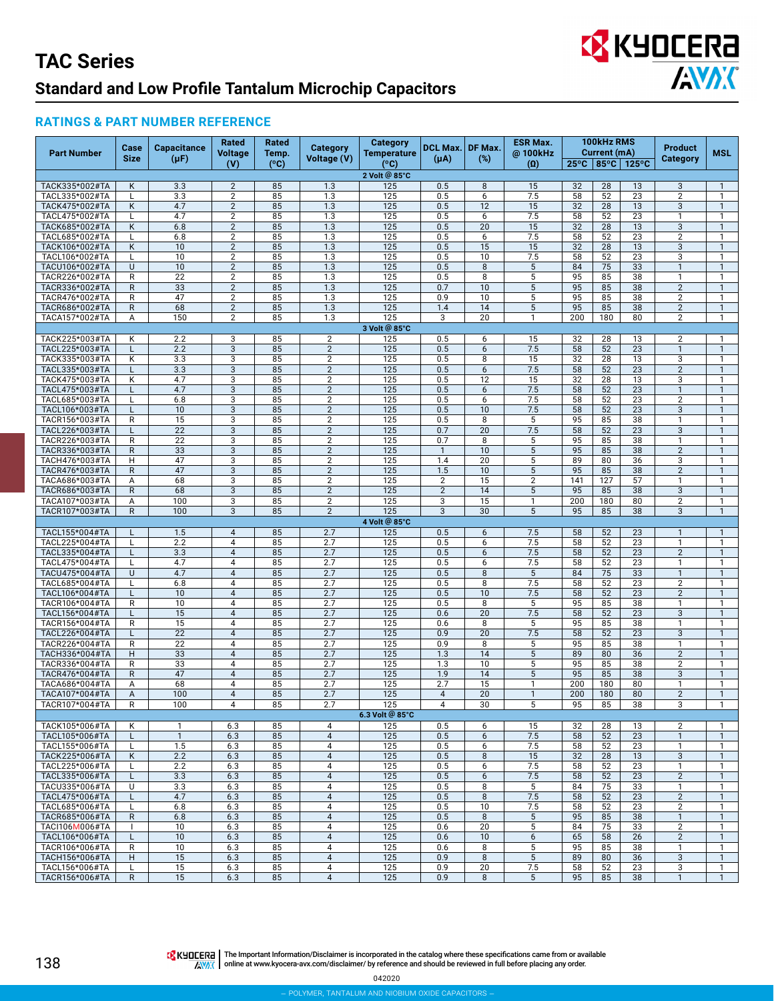# **EX KYOCERA AVAX**

#### **RATINGS & PART NUMBER REFERENCE**

| <b>Part Number</b>               | Case                         | <b>Capacitance</b> | Rated<br>Voltage                 | Rated<br>Temp. | Category                         | <b>Category</b><br><b>Temperature</b> | DCL Max.   DF Max. |          | <b>ESR Max.</b><br>@ 100kHz | 100kHz RMS<br>Current (mA)                          |           | Product  | <b>MSL</b>                                |                              |
|----------------------------------|------------------------------|--------------------|----------------------------------|----------------|----------------------------------|---------------------------------------|--------------------|----------|-----------------------------|-----------------------------------------------------|-----------|----------|-------------------------------------------|------------------------------|
|                                  | <b>Size</b>                  | $(\mu F)$          | (V)                              | (°C)           | Voltage (V)                      | (°C)                                  | $(\mu A)$          | $(\%)$   | $\left( 0\right)$           | $25^{\circ}$ C   85 $^{\circ}$ C<br>$125^{\circ}$ C |           |          | Category                                  |                              |
|                                  |                              |                    |                                  |                |                                  | 2 Volt @ 85°C                         |                    |          |                             |                                                     |           |          |                                           |                              |
| TACK335*002#TA                   | Κ                            | 3.3                | $\overline{2}$                   | 85             | 1.3                              | 125                                   | 0.5                | 8        | 15                          | 32                                                  | 28        | 13       | 3                                         | $\mathbf{1}$                 |
| TACL335*002#TA<br>TACK475*002#TA | L<br>Κ                       | 3.3<br>4.7         | $\overline{2}$<br>$\overline{2}$ | 85<br>85       | 1.3<br>1.3                       | 125<br>125                            | 0.5<br>0.5         | 6<br>12  | 7.5<br>15                   | 58<br>32                                            | 52<br>28  | 23<br>13 | $\overline{2}$<br>3                       | $\mathbf{1}$<br>$\mathbf{1}$ |
| TACL475*002#TA                   | L                            | 4.7                | $\overline{2}$                   | 85             | 1.3                              | 125                                   | 0.5                | 6        | 7.5                         | 58                                                  | 52        | 23       | $\mathbf{1}$                              | $\mathbf{1}$                 |
| TACK685*002#TA                   | Κ                            | 6.8                | $\overline{2}$                   | 85             | 1.3                              | 125                                   | 0.5                | 20       | 15                          | 32                                                  | 28        | 13       | 3                                         | $\mathbf{1}$                 |
| TACL685*002#TA                   |                              | 6.8                | $\overline{2}$                   | 85             | 1.3                              | 125                                   | 0.5                | 6        | 7.5                         | 58                                                  | 52        | 23       | $\overline{2}$                            | $\mathbf{1}$                 |
| TACK106*002#TA                   | Κ                            | 10                 | $\overline{2}$                   | 85             | 1.3                              | 125                                   | 0.5                | 15       | 15                          | 32                                                  | 28        | 13       | 3                                         | $\mathbf{1}$                 |
| TACL106*002#TA                   | L                            | 10                 | $\overline{2}$                   | 85             | 1.3                              | 125                                   | 0.5                | 10       | 7.5                         | 58                                                  | 52        | 23       | 3                                         | $\mathbf{1}$                 |
| TACU106*002#TA                   | U                            | 10                 | $\overline{2}$                   | 85             | 1.3                              | 125                                   | 0.5<br>0.5         | 8<br>8   | $\sqrt{5}$<br>5             | 84<br>95                                            | 75<br>85  | 33<br>38 | $\mathbf{1}$<br>$\mathbf{1}$              | $\mathbf{1}$<br>$\mathbf{1}$ |
| TACR226*002#TA<br>TACR336*002#TA | R<br>R                       | 22<br>33           | $\overline{2}$<br>$\overline{2}$ | 85<br>85       | 1.3<br>1.3                       | 125<br>125                            | 0.7                | 10       | 5                           | 95                                                  | 85        | 38       | $\overline{2}$                            | $\mathbf{1}$                 |
| TACR476*002#TA                   | $\mathsf{R}$                 | 47                 | $\overline{2}$                   | 85             | 1.3                              | 125                                   | 0.9                | 10       | 5                           | 95                                                  | 85        | 38       | $\overline{2}$                            | $\mathbf{1}$                 |
| TACR686*002#TA                   | R                            | 68                 | $\overline{2}$                   | 85             | 1.3                              | 125                                   | 1.4                | 14       | 5                           | 95                                                  | 85        | 38       | $\overline{2}$                            | $\mathbf{1}$                 |
| TACA157*002#TA                   | Α                            | 150                | 2                                | 85             | 1.3                              | 125                                   | 3                  | 20       | 1                           | 200                                                 | 180       | 80       | $\overline{2}$                            | $\mathbf{1}$                 |
|                                  |                              |                    |                                  |                |                                  | 3 Volt @ 85°C                         |                    |          |                             |                                                     |           |          |                                           |                              |
| TACK225*003#TA                   | K                            | 2.2                | 3                                | 85             | $\overline{2}$                   | 125                                   | 0.5                | 6        | 15                          | 32                                                  | 28        | 13       | $\overline{2}$                            | $\mathbf{1}$                 |
| TACL225*003#TA                   | L                            | 2.2                | 3<br>3                           | 85             | $\overline{2}$                   | 125                                   | 0.5                | 6        | 7.5<br>15                   | 58                                                  | 52        | 23       | $\mathbf{1}$                              | $\mathbf{1}$                 |
| TACK335*003#TA<br>TACL335*003#TA | Κ<br>L                       | 3.3<br>3.3         | 3                                | 85<br>85       | $\overline{2}$<br>$\sqrt{2}$     | 125<br>125                            | 0.5<br>0.5         | 8<br>6   | 7.5                         | 32<br>58                                            | 28<br>52  | 13<br>23 | 3<br>$\overline{2}$                       | 1<br>$\mathbf{1}$            |
| TACK475*003#TA                   | Κ                            | 4.7                | 3                                | 85             | $\overline{2}$                   | 125                                   | 0.5                | 12       | 15                          | 32                                                  | 28        | 13       | 3                                         | $\mathbf{1}$                 |
| TACL475*003#TA                   | L                            | 4.7                | 3                                | 85             | $\overline{2}$                   | 125                                   | 0.5                | 6        | 7.5                         | 58                                                  | 52        | 23       | $\mathbf{1}$                              | $\mathbf{1}$                 |
| TACL685*003#TA                   |                              | 6.8                | 3                                | 85             | $\overline{c}$                   | 125                                   | 0.5                | 6        | 7.5                         | 58                                                  | 52        | 23       | $\overline{c}$                            | $\mathbf{1}$                 |
| TACL106*003#TA                   | L                            | 10                 | 3                                | 85             | $\sqrt{2}$                       | 125                                   | 0.5                | 10       | 7.5                         | 58                                                  | 52        | 23       | $\ensuremath{\mathsf{3}}$                 | $\mathbf{1}$                 |
| TACR156*003#TA                   | R                            | 15                 | 3                                | 85             | $\overline{2}$                   | 125                                   | 0.5                | 8        | 5                           | 95                                                  | 85        | 38       | $\mathbf{1}$                              | $\mathbf{1}$                 |
| TACL226*003#TA<br>TACR226*003#TA | R                            | 22<br>22           | 3<br>3                           | 85<br>85       | $\sqrt{2}$<br>$\overline{2}$     | 125<br>125                            | 0.7<br>0.7         | 20<br>8  | 7.5<br>5                    | 58<br>95                                            | 52<br>85  | 23<br>38 | $\ensuremath{\mathsf{3}}$<br>$\mathbf{1}$ | $\mathbf{1}$<br>1            |
| TACR336*003#TA                   | $\mathsf{R}$                 | 33                 | 3                                | 85             | $\overline{2}$                   | 125                                   | $\mathbf{1}$       | 10       | 5                           | 95                                                  | 85        | 38       | $\overline{2}$                            | $\mathbf{1}$                 |
| TACH476*003#TA                   | H                            | 47                 | 3                                | 85             | $\overline{2}$                   | 125                                   | 1.4                | 20       | 5                           | 89                                                  | 80        | 36       | 3                                         | $\mathbf{1}$                 |
| TACR476*003#TA                   | $\mathsf{R}$                 | 47                 | 3                                | 85             | $\overline{2}$                   | 125                                   | 1.5                | 10       | 5                           | 95                                                  | 85        | 38       | $\overline{2}$                            | $\mathbf{1}$                 |
| TACA686*003#TA                   | А                            | 68                 | 3                                | 85             | $\overline{2}$                   | 125                                   | $\overline{2}$     | 15       | $\overline{2}$              | 141                                                 | 127       | 57       | $\mathbf{1}$                              | $\mathbf{1}$                 |
| TACR686*003#TA                   | $\mathsf{R}$                 | 68                 | 3                                | 85             | $\sqrt{2}$                       | 125                                   | $\mathbf{2}$       | 14       | $\mathbf 5$                 | 95                                                  | 85        | 38       | 3                                         | $\mathbf{1}$                 |
| TACA107*003#TA<br>TACR107*003#TA | Α<br>$\mathsf{R}$            | 100<br>100         | 3<br>3                           | 85<br>85       | $\overline{2}$<br>$\overline{2}$ | 125<br>125                            | 3<br>3             | 15<br>30 | 1<br>5                      | 200<br>95                                           | 180<br>85 | 80<br>38 | $\overline{2}$<br>3                       | 1<br>$\mathbf{1}$            |
|                                  |                              |                    |                                  |                |                                  | 4 Volt @ 85°C                         |                    |          |                             |                                                     |           |          |                                           |                              |
| TACL155*004#TA                   |                              | 1.5                | $\overline{4}$                   | 85             | 2.7                              | 125                                   | 0.5                | 6        | 7.5                         | 58                                                  | 52        | 23       | $\mathbf{1}$                              | $\mathbf{1}$                 |
| TACL225*004#TA                   | L                            | 2.2                | $\overline{\mathbf{4}}$          | 85             | 2.7                              | 125                                   | 0.5                | 6        | 7.5                         | 58                                                  | 52        | 23       | $\mathbf{1}$                              | $\mathbf{1}$                 |
| TACL335*004#TA                   | L                            | 3.3                | $\overline{4}$                   | 85             | 2.7                              | 125                                   | 0.5                | 6        | 7.5                         | 58                                                  | 52        | 23       | $\overline{2}$                            | $\mathbf{1}$                 |
| TACL475*004#TA                   |                              | 4.7                | $\overline{4}$                   | 85             | 2.7                              | 125                                   | 0.5                | 6        | 7.5                         | 58                                                  | 52        | 23       | 1                                         | $\mathbf{1}$                 |
| TACU475*004#TA                   | U                            | 4.7                | $\overline{4}$                   | 85             | 2.7                              | 125                                   | 0.5                | 8        | 5                           | 84                                                  | 75        | 33       | $\mathbf{1}$                              | $\mathbf{1}$                 |
| TACL685*004#TA<br>TACL106*004#TA | L                            | 6.8<br>10          | $\overline{4}$<br>$\overline{4}$ | 85<br>85       | 2.7<br>2.7                       | 125<br>125                            | 0.5<br>0.5         | 8<br>10  | 7.5<br>7.5                  | 58<br>58                                            | 52<br>52  | 23<br>23 | $\overline{2}$<br>$\overline{2}$          | $\mathbf{1}$<br>$\mathbf{1}$ |
| TACR106*004#TA                   | R                            | 10                 | $\overline{\mathbf{4}}$          | 85             | 2.7                              | 125                                   | 0.5                | 8        | 5                           | 95                                                  | 85        | 38       | $\mathbf{1}$                              | $\mathbf{1}$                 |
| TACL156*004#TA                   | L                            | 15                 | $\overline{4}$                   | 85             | 2.7                              | 125                                   | 0.6                | 20       | 7.5                         | 58                                                  | 52        | 23       | 3                                         | $\mathbf{1}$                 |
| TACR156*004#TA                   | $\mathsf{R}$                 | 15                 | $\overline{4}$                   | 85             | 2.7                              | 125                                   | 0.6                | 8        | 5                           | 95                                                  | 85        | 38       | 1                                         | $\mathbf{1}$                 |
| TACL226*004#TA                   | L                            | 22                 | $\overline{4}$                   | 85             | 2.7                              | 125                                   | 0.9                | 20       | 7.5                         | 58                                                  | 52        | 23       | 3                                         | $\mathbf{1}$                 |
| TACR226*004#TA                   | R                            | 22                 | $\overline{4}$                   | 85             | 2.7                              | 125                                   | 0.9                | 8        | 5                           | 95                                                  | 85        | 38       | $\mathbf{1}$                              | $\mathbf{1}$                 |
| TACH336*004#TA<br>TACR336*004#TA | H.<br>R                      | 33<br>33           | $\overline{4}$<br>4              | 85<br>85       | 2.7<br>2.7                       | 125<br>125                            | 1.3<br>1.3         | 14<br>10 | $\sqrt{5}$<br>5             | 89<br>95                                            | 80<br>85  | 36<br>38 | $\overline{2}$<br>2                       | $\mathbf{1}$<br>$\mathbf{1}$ |
| TACR476*004#TA                   | R                            | 47                 | $\overline{4}$                   | 85             | 2.7                              | 125                                   | 1.9                | 14       | 5                           | 95                                                  | 85        | 38       | 3                                         | $\mathbf{1}$                 |
| TACA686*004#TA                   | Α                            | 68                 | $\overline{4}$                   | 85             | 2.7                              | 125                                   | 2.7                | 15       |                             | 200                                                 | 180       | 80       |                                           | $\mathbf{1}$                 |
| TACA107*004#TA                   | Α                            | 100                | $\overline{4}$                   | 85             | 2.7                              | 125                                   | $\overline{4}$     | 20       | $\mathbf{1}$                | 200                                                 | 180       | 80       | $\overline{2}$                            | $\mathbf{1}$                 |
| <u>IACR107*004#IA</u>            | R                            | 100                | 4                                | 85             | 2.1                              | 125                                   | 4                  | 30       | 5                           | 95                                                  | 85        | 38       | 3                                         |                              |
|                                  |                              |                    |                                  |                |                                  | 6.3 Volt @ 85°C                       |                    |          |                             |                                                     |           |          |                                           |                              |
| TACK105*006#TA                   | Κ                            | $\mathbf{1}$       | 6.3                              | 85             | 4                                | 125                                   | 0.5                | 6        | 15                          | 32                                                  | 28        | 13       | $\overline{2}$                            | $\mathbf{1}$                 |
| TACL105*006#TA                   | L                            | $\mathbf{1}$       | 6.3                              | 85             | $\overline{4}$<br>4              | 125                                   | 0.5                | 6        | 7.5<br>7.5                  | 58                                                  | 52        | 23       | $\mathbf{1}$<br>$\mathbf{1}$              | $\mathbf{1}$                 |
| TACL155*006#TA<br>TACK225*006#TA | L<br>K                       | 1.5<br>2.2         | 6.3<br>6.3                       | 85<br>85       | $\overline{4}$                   | 125<br>125                            | 0.5<br>0.5         | 6<br>8   | 15                          | 58<br>32                                            | 52<br>28  | 23<br>13 | 3                                         | $\mathbf{1}$<br>$\mathbf{1}$ |
| TACL225*006#TA                   | L                            | 2.2                | 6.3                              | 85             | $\overline{4}$                   | 125                                   | 0.5                | 6        | 7.5                         | 58                                                  | 52        | 23       | $\mathbf{1}$                              | $\mathbf{1}$                 |
| TACL335*006#TA                   | L                            | 3.3                | 6.3                              | 85             | $\overline{4}$                   | 125                                   | 0.5                | 6        | 7.5                         | 58                                                  | 52        | 23       | $\overline{2}$                            | $\mathbf{1}$                 |
| TACU335*006#TA                   | U                            | 3.3                | 6.3                              | 85             | 4                                | 125                                   | 0.5                | 8        | 5                           | 84                                                  | 75        | 33       | $\mathbf{1}$                              | $\mathbf{1}$                 |
| TACL475*006#TA                   | L                            | 4.7                | 6.3                              | 85             | $\overline{4}$                   | 125                                   | 0.5                | $\,8\,$  | 7.5                         | 58                                                  | 52        | 23       | $\overline{2}$                            | $\mathbf{1}$                 |
| TACL685*006#TA                   | L                            | 6.8                | 6.3                              | 85             | 4                                | 125                                   | 0.5                | 10       | 7.5                         | 58                                                  | 52        | 23       | $\overline{2}$                            | $\mathbf{1}$                 |
| TACR685*006#TA<br>TACI106M006#TA | $\mathsf{R}$<br>$\mathbf{I}$ | 6.8<br>10          | 6.3<br>6.3                       | 85<br>85       | $\overline{4}$<br>$\overline{4}$ | 125<br>125                            | 0.5<br>0.6         | 8<br>20  | 5<br>5                      | 95<br>84                                            | 85<br>75  | 38<br>33 | $\mathbf{1}$<br>$\overline{2}$            | $\mathbf{1}$<br>$\mathbf{1}$ |
| TACL106*006#TA                   | L                            | 10                 | 6.3                              | 85             | $\overline{4}$                   | 125                                   | 0.6                | 10       | 6                           | 65                                                  | 58        | 26       | $\overline{2}$                            | $\mathbf{1}$                 |
| TACR106*006#TA                   | R                            | 10                 | 6.3                              | 85             | 4                                | 125                                   | 0.6                | 8        | 5                           | 95                                                  | 85        | 38       | $\mathbf{1}$                              | $\mathbf{1}$                 |
| TACH156*006#TA                   | H                            | 15                 | 6.3                              | 85             | $\overline{4}$                   | 125                                   | 0.9                | 8        | $5\,$                       | 89                                                  | 80        | 36       | $\mathbf{3}$                              | $\mathbf{1}$                 |
| TACL156*006#TA                   | L                            | 15                 | 6.3                              | 85             | 4                                | 125                                   | 0.9                | 20       | 7.5                         | 58                                                  | 52        | 23       | 3                                         | $\mathbf{1}$                 |
| TACR156*006#TA                   | R                            | 15                 | 6.3                              | 85             | $\overline{4}$                   | 125                                   | 0.9                | 8        | 5 <sup>5</sup>              | 95                                                  | 85        | 38       | $\mathbf{1}$                              | $\mathbf{1}$                 |

The Important Information/Disclaimer is incorporated in the catalog where these specifications came from or available<br>online at [www.kyocera-avx.com/disclaimer/](http://www.avx.com/disclaimer/) by reference and should be reviewed in full before placing any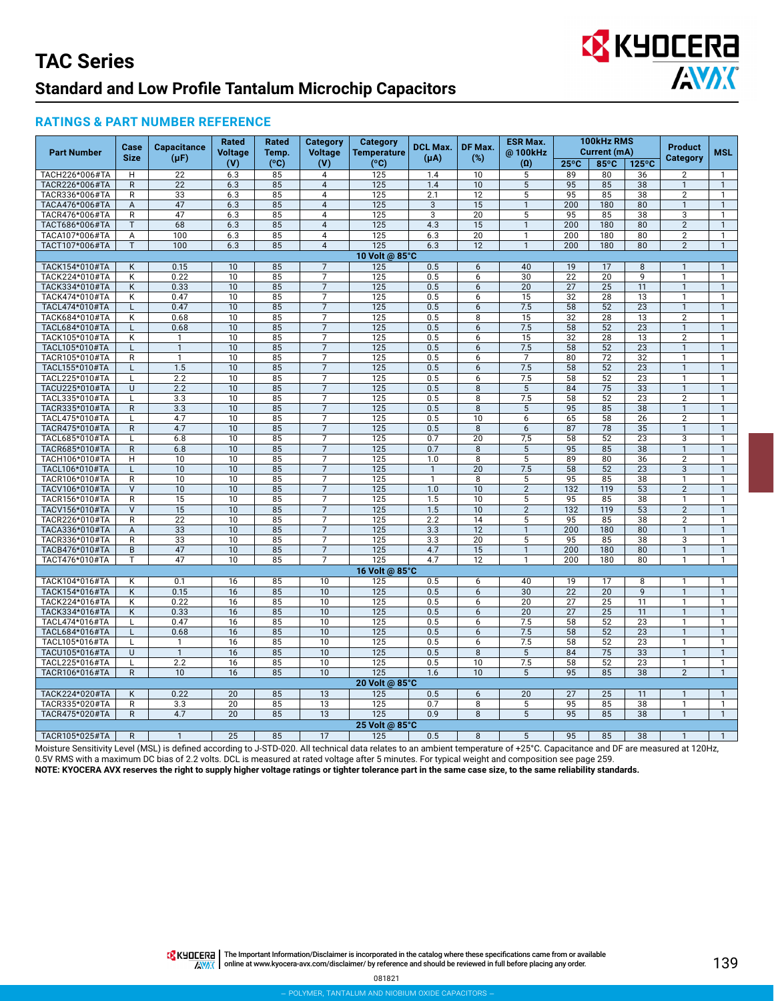

#### **RATINGS & PART NUMBER REFERENCE**

|                                  | Case                    | <b>Capacitance</b>           | <b>Rated</b>          | Rated               | <b>Category</b>                  | Category                | <b>DCL Max.</b><br>DF Max. |                       | 100kHz RMS<br><b>ESR Max.</b><br>Current (mA) |                         |            | <b>Product</b>        |                                  |                              |
|----------------------------------|-------------------------|------------------------------|-----------------------|---------------------|----------------------------------|-------------------------|----------------------------|-----------------------|-----------------------------------------------|-------------------------|------------|-----------------------|----------------------------------|------------------------------|
| <b>Part Number</b>               | <b>Size</b>             | $(\mu F)$                    | Voltage               | Temp.               | <b>Voltage</b>                   | <b>Temperature</b>      | $(\mu A)$                  | $(\%)$                | @100kHz                                       |                         |            |                       | <b>Category</b>                  | <b>MSL</b>                   |
| TACH226*006#TA                   | H                       | $\overline{22}$              | (V)<br>6.3            | $(^{\circ}C)$<br>85 | (V)                              | $(^{\circ}C)$<br>125    | 1.4                        | $\overline{10}$       | $(\Omega)$<br>5                               | $25^{\circ}$ C<br>89    | 85°C<br>80 | 125°C                 | $\overline{2}$                   | $\mathbf{1}$                 |
| TACR226*006#TA                   | $\mathsf{R}$            | 22                           | 6.3                   | 85                  | 4<br>$\overline{4}$              | 125                     | 1.4                        | 10                    | $\overline{5}$                                | 95                      | 85         | 36<br>38              | $\mathbf{1}$                     | $\mathbf{1}$                 |
| TACR336*006#TA                   | R                       | 33                           | 6.3                   | 85                  | $\overline{\mathbf{4}}$          | 125                     | 2.1                        | 12                    | 5                                             | 95                      | 85         | 38                    | $\overline{2}$                   | $\mathbf{1}$                 |
| TACA476*006#TA                   | A                       | 47                           | 6.3                   | 85                  | $\overline{4}$                   | 125                     | $\mathbf{3}$               | 15                    | $\mathbf{1}$                                  | 200                     | 180        | 80                    | $\mathbf{1}$                     | $\mathbf{1}$                 |
| TACR476*006#TA                   | R                       | 47                           | 6.3                   | 85                  | $\overline{4}$                   | 125                     | $\overline{3}$             | $\overline{20}$       | $\overline{5}$                                | 95                      | 85         | 38                    | 3                                | $\mathbf{1}$                 |
| TACT686*006#TA                   | T                       | 68                           | 6.3                   | 85                  | $\overline{4}$                   | 125                     | 4.3                        | 15                    | 1                                             | 200                     | 180        | 80                    | $\overline{2}$                   | $\mathbf{1}$                 |
| TACA107*006#TA                   | A                       | 100                          | 6.3                   | 85                  | $\overline{4}$                   | 125                     | 6.3                        | $\overline{20}$       | $\mathbf{1}$                                  | 200                     | 180        | 80                    | $\overline{2}$                   | $\mathbf{1}$                 |
| TACT107*006#TA                   | T                       | 100                          | 6.3                   | 85                  | $\overline{4}$                   | 125                     | 6.3                        | 12                    | $\mathbf{1}$                                  | 200                     | 180        | 80                    | $\overline{2}$                   | $\mathbf{1}$                 |
|                                  |                         |                              |                       |                     |                                  | 10 Volt @ 85°C          |                            |                       |                                               |                         |            |                       |                                  |                              |
| TACK154*010#TA                   | K                       | 0.15                         | 10                    | 85                  | $\overline{7}$                   | 125                     | 0.5                        | 6                     | 40                                            | 19                      | 17         | 8                     | $\mathbf{1}$                     | $\mathbf{1}$                 |
| TACK224*010#TA                   | K                       | 0.22                         | 10                    | 85                  | $\overline{7}$                   | 125                     | 0.5                        | 6                     | 30                                            | $\overline{22}$         | 20         | 9                     | $\mathbf{1}$                     | $\mathbf{1}$                 |
| TACK334*010#TA                   | Κ                       | 0.33                         | 10                    | 85                  | $\overline{7}$                   | 125                     | 0.5                        | 6                     | 20                                            | 27                      | 25         | 11                    | $\mathbf{1}$                     | $\mathbf{1}$                 |
| TACK474*010#TA                   | Κ                       | 0.47                         | 10                    | 85                  | $\overline{7}$                   | 125                     | 0.5                        | 6                     | 15                                            | 32                      | 28         | 13                    | $\mathbf{1}$                     | $\mathbf{1}$                 |
| TACL474*010#TA                   | L                       | 0.47                         | 10                    | 85                  | $\overline{7}$                   | 125                     | 0.5                        | 6                     | 7.5                                           | $\overline{58}$         | 52         | $\overline{23}$       | $\mathbf{1}$                     | $\mathbf{1}$                 |
| TACK684*010#TA                   | Κ                       | 0.68                         | 10                    | 85                  | $\overline{7}$                   | 125                     | 0.5                        | 8                     | 15                                            | 32                      | 28         | 13                    | 2                                | $\mathbf{1}$                 |
| TACL684*010#TA                   | L                       | 0.68                         | 10                    | 85                  | $\overline{7}$                   | 125                     | 0.5                        | 6                     | 7.5                                           | 58                      | 52         | 23                    | $\mathbf{1}$                     | $\mathbf{1}$                 |
| TACK105*010#TA                   | Κ                       | $\mathbf{1}$                 | 10                    | 85                  | $\overline{7}$                   | 125                     | 0.5                        | 6                     | 15                                            | 32                      | 28         | 13                    | $\overline{2}$<br>$\overline{1}$ | $\mathbf{1}$                 |
| TACL105*010#TA                   | L                       | $\mathbf{1}$<br>$\mathbf{1}$ | 10<br>10              | 85                  | $\overline{7}$<br>$\overline{7}$ | 125<br>125              | 0.5                        | 6                     | 7.5<br>$\overline{7}$                         | 58                      | 52<br>72   | $\overline{23}$<br>32 | 1                                | $\mathbf{1}$<br>1            |
| TACR105*010#TA<br>TACL155*010#TA | R                       | 1.5                          | 10                    | 85<br>85            | $\overline{7}$                   | 125                     | 0.5<br>0.5                 | 6<br>6                | 7.5                                           | 80<br>58                | 52         | $\overline{23}$       | $\mathbf{1}$                     | $\mathbf{1}$                 |
| TACL225*010#TA                   | L                       | 2.2                          | 10                    | 85                  | $\overline{7}$                   | $\overline{125}$        | 0.5                        | 6                     | 7.5                                           | 58                      | 52         | 23                    | $\mathbf{1}$                     | $\mathbf{1}$                 |
| TACU225*010#TA                   | U                       | 2.2                          | 10                    | 85                  | $\overline{7}$                   | 125                     | 0.5                        | 8                     | 5                                             | 84                      | 75         | 33                    | $\mathbf{1}$                     | $\mathbf{1}$                 |
| TACL335*010#TA                   | L                       | 3.3                          | 10                    | 85                  | $\overline{7}$                   | 125                     | 0.5                        | 8                     | 7.5                                           | 58                      | 52         | 23                    | $\overline{2}$                   | $\mathbf{1}$                 |
| TACR335*010#TA                   | $\mathsf{R}$            | 3.3                          | 10                    | 85                  | $\overline{7}$                   | 125                     | 0.5                        | 8                     | 5                                             | 95                      | 85         | 38                    | $\mathbf{1}$                     | $\mathbf{1}$                 |
| TACL475*010#TA                   | L                       | 4.7                          | 10                    | 85                  | $\overline{7}$                   | 125                     | 0.5                        | 10                    | 6                                             | 65                      | 58         | 26                    | $\overline{2}$                   | 1                            |
| TACR475*010#TA                   | R                       | 4.7                          | 10                    | 85                  | $\overline{7}$                   | 125                     | 0.5                        | 8                     | 6                                             | 87                      | 78         | 35                    | $\mathbf{1}$                     | $\mathbf{1}$                 |
| TACL685*010#TA                   | L                       | 6.8                          | 10                    | 85                  | 7                                | 125                     | 0.7                        | 20                    | 7,5                                           | 58                      | 52         | 23                    | 3                                | 1                            |
| TACR685*010#TA                   | $\mathsf{R}$            | 6.8                          | 10                    | 85                  | $\overline{7}$                   | 125                     | 0.7                        | 8                     | 5                                             | 95                      | 85         | 38                    | $\overline{1}$                   | $\overline{1}$               |
| TACH106*010#TA                   | н                       | 10                           | 10                    | 85                  | $\overline{7}$                   | 125                     | 1.0                        | 8                     | 5                                             | 89                      | 80         | 36                    | $\overline{2}$                   | $\mathbf{1}$                 |
| TACL106*010#TA                   | $\mathsf{L}$            | 10                           | 10                    | 85                  | $\overline{7}$                   | 125                     | $\mathbf{1}$               | 20                    | 7.5                                           | 58                      | 52         | 23                    | 3                                | $\mathbf{1}$                 |
| TACR106*010#TA                   | $\overline{R}$          | 10                           | 10                    | 85                  | 7                                | 125                     | $\mathbf{1}$               | $\overline{8}$        | 5                                             | 95                      | 85         | 38                    | $\mathbf{1}$                     | $\mathbf{1}$                 |
| TACV106*010#TA                   | $\vee$                  | 10                           | 10                    | 85                  | $\overline{7}$                   | 125                     | 1.0                        | 10                    | $\overline{2}$                                | 132                     | 119        | 53                    | $\overline{2}$                   | $\mathbf{1}$                 |
| TACR156*010#TA                   | $\mathsf R$             | 15                           | 10                    | 85                  | 7                                | 125                     | 1.5                        | 10                    | 5                                             | 95                      | 85         | 38                    | 1                                | $\mathbf{1}$                 |
| TACV156*010#TA                   | $\vee$                  | 15                           | 10                    | 85                  | $\overline{7}$                   | 125                     | 1.5                        | 10                    | $\overline{2}$                                | 132                     | 119        | 53                    | $\overline{2}$                   | $\overline{1}$               |
| TACR226*010#TA                   | R                       | 22                           | 10                    | 85                  | $\overline{7}$                   | 125                     | 2.2                        | 14                    | 5                                             | 95                      | 85         | 38                    | $\overline{2}$                   | $\mathbf{1}$                 |
| TACA336*010#TA                   | Α                       | 33                           | 10                    | 85                  | $\overline{7}$                   | 125                     | 3.3                        | 12                    | $\mathbf{1}$                                  | 200                     | 180        | 80                    | $\mathbf{1}$                     | $\mathbf{1}$                 |
| TACR336*010#TA                   | $\overline{\mathsf{R}}$ | 33                           | 10                    | 85                  | $\overline{7}$<br>$\overline{7}$ | 125                     | 3.3                        | 20                    | 5                                             | 95                      | 85         | 38                    | 3<br>$\overline{1}$              | $\mathbf{1}$                 |
| TACB476*010#TA                   | $\overline{B}$          | 47<br>47                     | $\overline{10}$<br>10 | 85<br>85            | $\overline{7}$                   | $\overline{125}$<br>125 | $\overline{4.7}$<br>4.7    | $\overline{15}$<br>12 | $\mathbf{1}$<br>1                             | $\overline{200}$<br>200 | 180<br>180 | 80                    | $\mathbf{1}$                     | $\mathbf{1}$<br>$\mathbf{1}$ |
| TACT476*010#TA                   | т                       |                              |                       |                     |                                  | 16 Volt @ 85°C          |                            |                       |                                               |                         |            | 80                    |                                  |                              |
|                                  |                         | 0.1                          | 16                    |                     | 10                               |                         |                            |                       | 40                                            | 19                      | 17         |                       | 1                                | $\mathbf{1}$                 |
| TACK104*016#TA<br>TACK154*016#TA | Κ<br>Κ                  | 0.15                         | 16                    | 85<br>85            | 10                               | 125<br>125              | 0.5<br>0.5                 | 6<br>6                | 30                                            | 22                      | 20         | 8<br>9                | $\mathbf{1}$                     | $\mathbf{1}$                 |
| TACK224*016#TA                   | Κ                       | 0.22                         | 16                    | 85                  | 10                               | 125                     | 0.5                        | 6                     | 20                                            | 27                      | 25         | 11                    | $\mathbf{1}$                     | $\mathbf{1}$                 |
| TACK334*016#TA                   | K                       | 0.33                         | 16                    | 85                  | 10                               | 125                     | 0.5                        | 6                     | 20                                            | 27                      | 25         | 11                    | $\mathbf{1}$                     | $\mathbf{1}$                 |
| TACL474*016#TA                   | L                       | 0.47                         | 16                    | 85                  | 10                               | 125                     | 0.5                        | 6                     | 7.5                                           | 58                      | 52         | 23                    | $\mathbf{1}$                     | $\mathbf{1}$                 |
| TACL684*016#TA                   | L                       | 0.68                         | 16                    | 85                  | 10                               | 125                     | 0.5                        | 6                     | 7.5                                           | 58                      | 52         | 23                    | $\mathbf{1}$                     | $\mathbf{1}$                 |
| TACL105*016#TA                   | L                       | $\mathbf{1}$                 | 16                    | 85                  | 10                               | 125                     | 0.5                        | 6                     | 7.5                                           | 58                      | 52         | 23                    | $\mathbf{1}$                     | $\mathbf{1}$                 |
| TACU105*016#TA                   | U                       | $\mathbf{1}$                 | 16                    | 85                  | 10                               | 125                     | 0.5                        | 8                     | 5                                             | 84                      | 75         | 33                    | $\mathbf{1}$                     | $\mathbf{1}$                 |
| TACL225*016#TA                   | L                       | 2.2                          | 16                    | 85                  | 10                               | 125                     | 0.5                        | 10                    | 7.5                                           | 58                      | 52         | 23                    | $\mathbf{1}$                     | $\mathbf{1}$                 |
| TACR106*016#TA                   | $\mathsf{R}$            | 10                           | 16                    | 85                  | 10                               | 125                     | 1.6                        | 10                    | 5                                             | 95                      | 85         | 38                    | $\overline{2}$                   | $\mathbf{1}$                 |
|                                  |                         |                              |                       |                     |                                  | 20 Volt @ 85°C          |                            |                       |                                               |                         |            |                       |                                  |                              |
| TACK224*020#TA                   | K                       | 0.22                         | 20                    | 85                  | 13                               | 125                     | 0.5                        | 6                     | 20                                            | 27                      | 25         | 11                    | $\mathbf{1}$                     | $\mathbf{1}$                 |
| TACR335*020#TA                   | R                       | 3.3                          | 20                    | 85                  | 13                               | $\overline{125}$        | 0.7                        | 8                     | 5                                             | 95                      | 85         | 38                    | $\mathbf{1}$                     | $\mathbf{1}$                 |
| TACR475*020#TA                   | $\mathsf{R}$            | 4.7                          | 20                    | 85                  | 13                               | 125                     | 0.9                        | 8                     | 5                                             | 95                      | 85         | 38                    | $\mathbf{1}$                     | $\mathbf{1}$                 |
|                                  |                         |                              |                       |                     |                                  | 25 Volt @ 85°C          |                            |                       |                                               |                         |            |                       |                                  |                              |
| TACR105*025#TA                   | R                       |                              | $\overline{25}$       | 85                  | 17                               | 125                     | 0.5                        | 8                     | 5                                             | 95                      | 85         | 38                    |                                  |                              |

Moisture Sensitivity Level (MSL) is defined according to J-STD-020. All technical data relates to an ambient temperature of +25°C. Capacitance and DF are measured at 120Hz, 0.5V RMS with a maximum DC bias of 2.2 volts. DCL is measured at rated voltage after 5 minutes. For typical weight and composition see page 259.

**NOTE: KYOCERA AVX reserves the right to supply higher voltage ratings or tighter tolerance part in the same case size, to the same reliability standards.**

THE IMPO THE Important Information/Disclaimer is incorporated in the catalog where these specifications came from or available AVAX | online at [www.kyocera-avx.com/disclaimer/](http://www.avx.com/disclaimer/) by reference and should be reviewed in full before placing any order.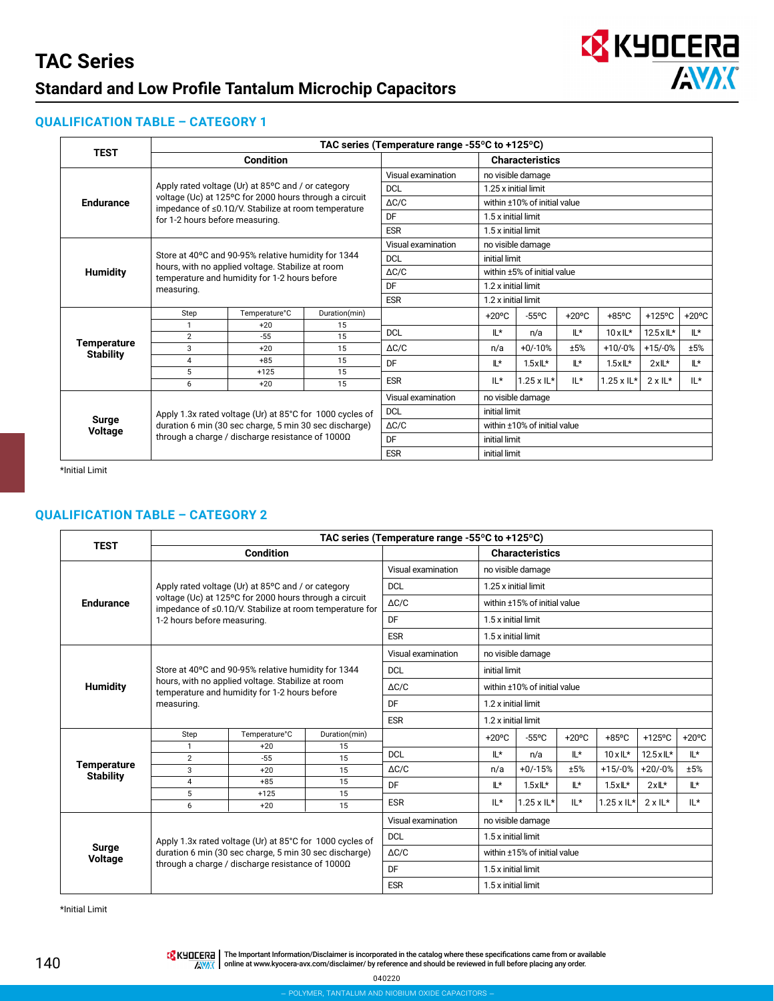

### **QUALIFICATION TABLE – CATEGORY 1**

|                         |                                 | TAC series (Temperature range -55 $\degree$ C to +125 $\degree$ C)                                                         |               |                    |                             |                              |                 |                      |                 |                 |  |  |
|-------------------------|---------------------------------|----------------------------------------------------------------------------------------------------------------------------|---------------|--------------------|-----------------------------|------------------------------|-----------------|----------------------|-----------------|-----------------|--|--|
| <b>TEST</b>             |                                 | <b>Condition</b>                                                                                                           |               |                    |                             | <b>Characteristics</b>       |                 |                      |                 |                 |  |  |
|                         |                                 |                                                                                                                            |               | Visual examination | no visible damage           |                              |                 |                      |                 |                 |  |  |
|                         |                                 | Apply rated voltage (Ur) at 85°C and / or category                                                                         |               | <b>DCL</b>         |                             | 1.25 x initial limit         |                 |                      |                 |                 |  |  |
| <b>Endurance</b>        |                                 | voltage (Uc) at 125°C for 2000 hours through a circuit<br>impedance of $\leq 0.1 \Omega/V$ . Stabilize at room temperature |               | $\Delta C/C$       |                             | within ±10% of initial value |                 |                      |                 |                 |  |  |
|                         | for 1-2 hours before measuring. |                                                                                                                            |               | DF                 |                             | 1.5 x initial limit          |                 |                      |                 |                 |  |  |
|                         |                                 |                                                                                                                            |               | <b>ESR</b>         |                             | 1.5 x initial limit          |                 |                      |                 |                 |  |  |
|                         |                                 |                                                                                                                            |               | Visual examination |                             | no visible damage            |                 |                      |                 |                 |  |  |
|                         |                                 | Store at 40°C and 90-95% relative humidity for 1344                                                                        |               | <b>DCL</b>         |                             | initial limit                |                 |                      |                 |                 |  |  |
| <b>Humidity</b>         |                                 | hours, with no applied voltage. Stabilize at room<br>temperature and humidity for 1-2 hours before                         |               | $\Delta C/C$       | within ±5% of initial value |                              |                 |                      |                 |                 |  |  |
|                         | measuring.                      |                                                                                                                            |               | DF                 |                             | 1.2 x initial limit          |                 |                      |                 |                 |  |  |
|                         |                                 |                                                                                                                            |               | <b>ESR</b>         | 1.2 x initial limit         |                              |                 |                      |                 |                 |  |  |
|                         | Step                            | Temperature°C                                                                                                              | Duration(min) |                    | $+20^{\circ}$ C             | $-55^{\circ}$ C              | $+20^{\circ}$ C | $+85^{\circ}$ C      | $+125$ °C       | $+20^{\circ}$ C |  |  |
|                         | 1                               | $+20$                                                                                                                      | 15            | <b>DCL</b>         | $\mathbb{L}^*$              | n/a                          | IL*             | $10x$ IL*            | 12.5 x IL*      | IL*             |  |  |
| <b>Temperature</b>      | $\overline{2}$                  | $-55$                                                                                                                      | 15            |                    |                             |                              |                 |                      |                 |                 |  |  |
| <b>Stability</b>        | 3                               | $+20$                                                                                                                      | 15            | $\triangle$ C/C    | n/a                         | $+0/-10%$                    | ±5%             | $+10/-0%$            | $+15/0%$        | ±5%             |  |  |
|                         | 4                               | $+85$                                                                                                                      | 15            | DF                 | $\mathbb{L}^*$              | $1.5xL*$                     | IL*             | $1.5xL*$             | $2xL^*$         | IL*             |  |  |
|                         | 5                               | $+125$                                                                                                                     | 15            | <b>ESR</b>         | IL*                         | $1.25 \times 11^{*}$         | $IL*$           | $1.25 \times 11^{*}$ | $2 \times 11^*$ | $IL*$           |  |  |
|                         | 6                               | $+20$                                                                                                                      | 15            |                    |                             |                              |                 |                      |                 |                 |  |  |
|                         |                                 |                                                                                                                            |               | Visual examination |                             | no visible damage            |                 |                      |                 |                 |  |  |
|                         |                                 | Apply 1.3x rated voltage (Ur) at 85°C for 1000 cycles of                                                                   |               | <b>DCL</b>         | initial limit               |                              |                 |                      |                 |                 |  |  |
| Surge<br><b>Voltage</b> |                                 | duration 6 min (30 sec charge, 5 min 30 sec discharge)                                                                     |               | $\Delta C/C$       |                             | within ±10% of initial value |                 |                      |                 |                 |  |  |
|                         |                                 | through a charge / discharge resistance of 1000Ω                                                                           |               | DF                 | initial limit               |                              |                 |                      |                 |                 |  |  |
|                         |                                 |                                                                                                                            |               | <b>ESR</b>         | initial limit               |                              |                 |                      |                 |                 |  |  |

\*Initial Limit

#### **QUALIFICATION TABLE – CATEGORY 2**

| <b>TEST</b>             |                             |                                                                                                                         |               | TAC series (Temperature range -55°C to +125°C) |                     |                              |                 |                             |                    |                 |  |
|-------------------------|-----------------------------|-------------------------------------------------------------------------------------------------------------------------|---------------|------------------------------------------------|---------------------|------------------------------|-----------------|-----------------------------|--------------------|-----------------|--|
|                         |                             | <b>Condition</b>                                                                                                        |               |                                                |                     | <b>Characteristics</b>       |                 |                             |                    |                 |  |
|                         |                             |                                                                                                                         |               | Visual examination                             |                     | no visible damage            |                 |                             |                    |                 |  |
|                         |                             | Apply rated voltage (Ur) at 85°C and / or category                                                                      |               | <b>DCL</b>                                     |                     | 1.25 x initial limit         |                 |                             |                    |                 |  |
| <b>Endurance</b>        |                             | voltage (Uc) at 125°C for 2000 hours through a circuit<br>impedance of $\leq$ 0.10/V. Stabilize at room temperature for |               | $\Delta C/C$                                   |                     | within ±15% of initial value |                 |                             |                    |                 |  |
|                         | 1-2 hours before measuring. |                                                                                                                         |               | DF                                             |                     | 1.5 x initial limit          |                 |                             |                    |                 |  |
|                         |                             |                                                                                                                         |               | <b>ESR</b>                                     |                     | 1.5 x initial limit          |                 |                             |                    |                 |  |
|                         |                             |                                                                                                                         |               | Visual examination                             |                     | no visible damage            |                 |                             |                    |                 |  |
|                         |                             | Store at 40°C and 90-95% relative humidity for 1344                                                                     |               | <b>DCL</b>                                     |                     | initial limit                |                 |                             |                    |                 |  |
| <b>Humidity</b>         |                             | hours, with no applied voltage. Stabilize at room<br>temperature and humidity for 1-2 hours before                      |               | $\triangle$ C/C                                |                     | within ±10% of initial value |                 |                             |                    |                 |  |
|                         | measuring.                  |                                                                                                                         |               | DF                                             | 1.2 x initial limit |                              |                 |                             |                    |                 |  |
|                         |                             |                                                                                                                         |               | <b>ESR</b>                                     | 1.2 x initial limit |                              |                 |                             |                    |                 |  |
|                         | Step                        | Temperature°C                                                                                                           | Duration(min) |                                                | $+20^{\circ}$ C     | $-55^{\circ}$ C              | $+20^{\circ}$ C | $+85^{\circ}$ C             | $+125$ °C          | $+20^{\circ}$ C |  |
|                         | $\mathbf{1}$                | $+20$                                                                                                                   | 15            | <b>DCL</b>                                     | $\mathbb{L}^*$      | n/a                          | IL*             | $10x$ IL*                   | $12.5 \times 11$ * | ۱Ľ*             |  |
| <b>Temperature</b>      | $\overline{2}$              | $-55$                                                                                                                   | 15            |                                                |                     |                              |                 |                             |                    |                 |  |
| <b>Stability</b>        | 3                           | $+20$                                                                                                                   | 15            | $\Delta C/C$                                   | n/a                 | $+0/-15%$                    | ±5%             | +15/-0%                     | $+20/-0%$          | ±5%             |  |
|                         | $\overline{4}$              | $+85$                                                                                                                   | 15            | DF                                             | ۱Ľ*                 | $1.5xL*$                     | IL*             | $1.5xL*$                    | $2xL^*$            | Ľ*              |  |
|                         | 5                           | $+125$                                                                                                                  | 15            | <b>ESR</b>                                     | $IL*$               | $1.25 \times 1$ L*           | $IL*$           | $1.25 \times \mathsf{IL}^*$ | $2 \times 11*$     | $IL*$           |  |
|                         | 6                           | $+20$                                                                                                                   | 15            |                                                |                     |                              |                 |                             |                    |                 |  |
|                         |                             |                                                                                                                         |               | Visual examination                             |                     | no visible damage            |                 |                             |                    |                 |  |
|                         |                             | Apply 1.3x rated voltage (Ur) at 85°C for 1000 cycles of                                                                |               | <b>DCL</b>                                     | 1.5 x initial limit |                              |                 |                             |                    |                 |  |
| <b>Surge</b><br>Voltage |                             | duration 6 min (30 sec charge, 5 min 30 sec discharge)                                                                  |               | $\triangle$ C/C                                |                     | within ±15% of initial value |                 |                             |                    |                 |  |
|                         |                             | through a charge / discharge resistance of 1000Ω                                                                        |               | <b>DF</b>                                      | 1.5 x initial limit |                              |                 |                             |                    |                 |  |
|                         |                             |                                                                                                                         |               | <b>ESR</b>                                     |                     | 1.5 x initial limit          |                 |                             |                    |                 |  |

\*Initial Limit

The Important Information/Disclaimer is incorporated in the catalog where these specifications came from or available<br>online at [www.kyocera-avx.com/disclaimer/](http://www.avx.com/disclaimer/) by reference and should be reviewed in full before placing any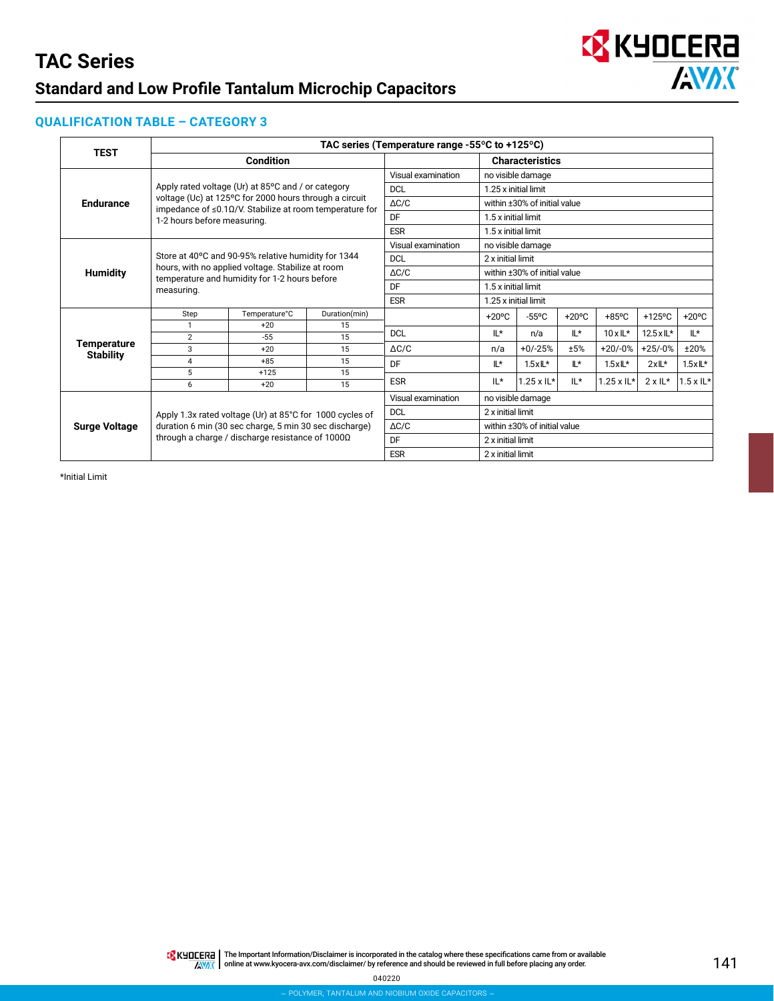

#### **QUALIFICATION TABLE – CATEGORY 3**

| <b>TEST</b>          | TAC series (Temperature range -55°C to +125°C) |                                                                                                                         |                 |                              |                   |                              |                 |                   |                            |                   |  |  |
|----------------------|------------------------------------------------|-------------------------------------------------------------------------------------------------------------------------|-----------------|------------------------------|-------------------|------------------------------|-----------------|-------------------|----------------------------|-------------------|--|--|
|                      |                                                | <b>Condition</b>                                                                                                        |                 |                              |                   | <b>Characteristics</b>       |                 |                   |                            |                   |  |  |
|                      |                                                |                                                                                                                         |                 | Visual examination           |                   | no visible damage            |                 |                   |                            |                   |  |  |
|                      |                                                | Apply rated voltage (Ur) at 85°C and / or category                                                                      |                 | <b>DCL</b>                   |                   | 1.25 x initial limit         |                 |                   |                            |                   |  |  |
| <b>Endurance</b>     |                                                | voltage (Uc) at 125°C for 2000 hours through a circuit<br>impedance of $\leq$ 0.10/V. Stabilize at room temperature for |                 | $\Delta C/C$                 |                   | within ±30% of initial value |                 |                   |                            |                   |  |  |
|                      | 1-2 hours before measuring.                    |                                                                                                                         |                 | DF                           |                   | 1.5 x initial limit          |                 |                   |                            |                   |  |  |
|                      |                                                |                                                                                                                         |                 | <b>ESR</b>                   |                   | 1.5 x initial limit          |                 |                   |                            |                   |  |  |
|                      |                                                |                                                                                                                         |                 | Visual examination           |                   | no visible damage            |                 |                   |                            |                   |  |  |
|                      |                                                | Store at 40°C and 90-95% relative humidity for 1344                                                                     |                 | <b>DCL</b>                   |                   | 2 x initial limit            |                 |                   |                            |                   |  |  |
| <b>Humidity</b>      |                                                | hours, with no applied voltage. Stabilize at room<br>temperature and humidity for 1-2 hours before                      | $\triangle$ C/C | within ±30% of initial value |                   |                              |                 |                   |                            |                   |  |  |
|                      | measuring.                                     |                                                                                                                         |                 | DF                           |                   | 1.5 x initial limit          |                 |                   |                            |                   |  |  |
|                      |                                                |                                                                                                                         |                 | <b>ESR</b>                   |                   | 1.25 x initial limit         |                 |                   |                            |                   |  |  |
|                      | Step                                           | Temperature°C                                                                                                           | Duration(min)   |                              | $+20^{\circ}$ C   | $-55^{\circ}$ C              | $+20^{\circ}$ C | $+85^{\circ}$ C   | +125°C                     | $+20^{\circ}$ C   |  |  |
|                      | $\mathbf{1}$                                   | $+20$                                                                                                                   | 15              | <b>DCL</b>                   | IL*               | n/a                          | IL*             | $10 \times 11^*$  | $12.5 \times \mathbb{L}^*$ | IL*               |  |  |
| <b>Temperature</b>   | $\overline{2}$                                 | $-55$                                                                                                                   | 15              |                              |                   |                              |                 |                   |                            |                   |  |  |
| <b>Stability</b>     | 3                                              | $+20$                                                                                                                   | 15              | $\Delta C/C$                 | n/a               | $+0/-25%$                    | ±5%             | $+20/-0%$         | $+25/-0%$                  | ±20%              |  |  |
|                      | 4                                              | $+85$                                                                                                                   | 15              | DF                           | ۱Ľ*               | $1.5xL*$                     | IL*             | $1.5xL*$          | $2xL*$                     | $1.5xL*$          |  |  |
|                      | 5                                              | $+125$                                                                                                                  | 15              | <b>ESR</b>                   | $IL*$             | $1.25 \times 1$ L*           | IL*             | $1.25 \times IL*$ | $2 \times 11^*$            | $1.5 \times 1$ L* |  |  |
|                      | 6                                              | $+20$                                                                                                                   | 15              |                              |                   |                              |                 |                   |                            |                   |  |  |
|                      |                                                |                                                                                                                         |                 | Visual examination           |                   | no visible damage            |                 |                   |                            |                   |  |  |
|                      |                                                | Apply 1.3x rated voltage (Ur) at 85°C for 1000 cycles of                                                                |                 | <b>DCL</b>                   | 2 x initial limit |                              |                 |                   |                            |                   |  |  |
| <b>Surge Voltage</b> |                                                | duration 6 min (30 sec charge, 5 min 30 sec discharge)                                                                  |                 | $\Delta C/C$                 |                   | within ±30% of initial value |                 |                   |                            |                   |  |  |
|                      |                                                | through a charge / discharge resistance of 1000Ω                                                                        |                 | DF                           | 2 x initial limit |                              |                 |                   |                            |                   |  |  |
|                      |                                                |                                                                                                                         |                 | <b>ESR</b>                   | 2 x initial limit |                              |                 |                   |                            |                   |  |  |

\*Initial Limit

The Important Information/Disclaimer is incorporated in the catalog where these specifications came from or available<br>online at [www.kyocera-avx.com/disclaimer/](http://www.avx.com/disclaimer/) by reference and should be reviewed in full before placing any